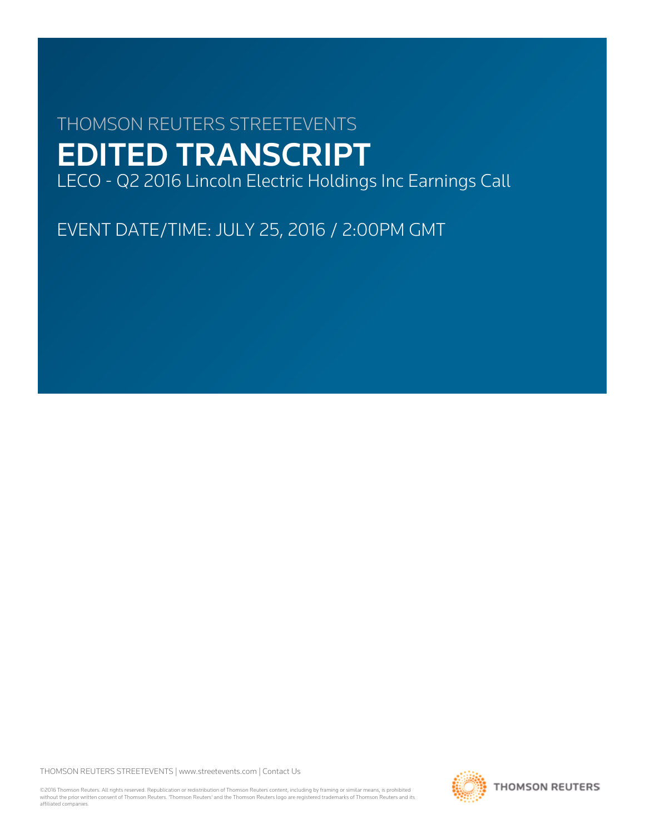# THOMSON REUTERS STREETEVENTS EDITED TRANSCRIPT LECO - Q2 2016 Lincoln Electric Holdings Inc Earnings Call

EVENT DATE/TIME: JULY 25, 2016 / 2:00PM GMT

THOMSON REUTERS STREETEVENTS | [www.streetevents.com](http://www.streetevents.com) | [Contact Us](http://www010.streetevents.com/contact.asp)

©2016 Thomson Reuters. All rights reserved. Republication or redistribution of Thomson Reuters content, including by framing or similar means, is prohibited without the prior written consent of Thomson Reuters. 'Thomson Reuters' and the Thomson Reuters logo are registered trademarks of Thomson Reuters and its affiliated companies.

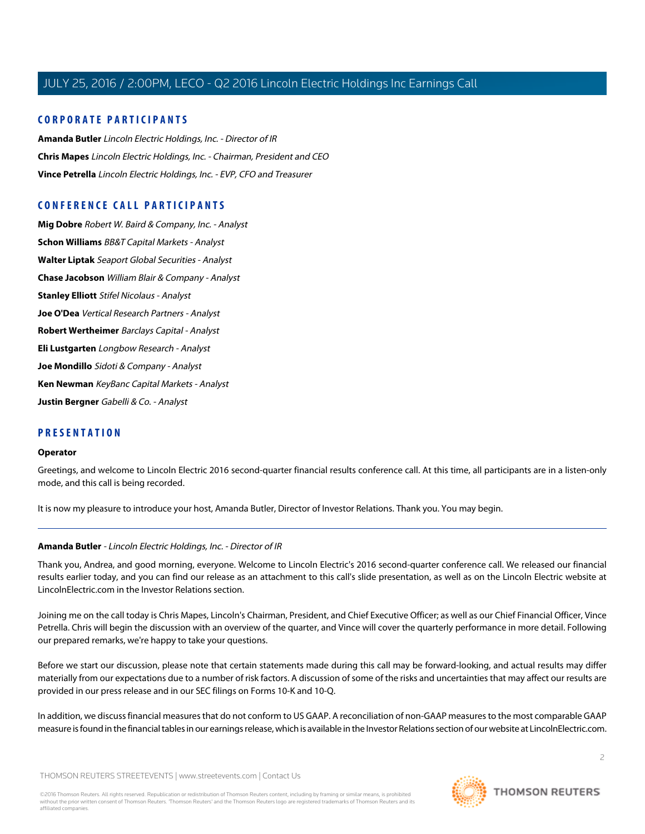# **CORPORATE PARTICIPANTS**

**[Amanda Butler](#page-1-0)** Lincoln Electric Holdings, Inc. - Director of IR **[Chris Mapes](#page-2-0)** Lincoln Electric Holdings, Inc. - Chairman, President and CEO **[Vince Petrella](#page-3-0)** Lincoln Electric Holdings, Inc. - EVP, CFO and Treasurer

# **CONFERENCE CALL PARTICIPANTS**

**[Mig Dobre](#page-5-0)** Robert W. Baird & Company, Inc. - Analyst **[Schon Williams](#page-6-0)** BB&T Capital Markets - Analyst **[Walter Liptak](#page-7-0)** Seaport Global Securities - Analyst **[Chase Jacobson](#page-8-0)** William Blair & Company - Analyst **[Stanley Elliott](#page-9-0)** Stifel Nicolaus - Analyst **[Joe O'Dea](#page-11-0)** Vertical Research Partners - Analyst **[Robert Wertheimer](#page-12-0)** Barclays Capital - Analyst **[Eli Lustgarten](#page-12-1)** Longbow Research - Analyst **[Joe Mondillo](#page-13-0)** Sidoti & Company - Analyst **[Ken Newman](#page-15-0)** KeyBanc Capital Markets - Analyst **[Justin Bergner](#page-15-1)** Gabelli & Co. - Analyst

# **PRESENTATION**

#### **Operator**

Greetings, and welcome to Lincoln Electric 2016 second-quarter financial results conference call. At this time, all participants are in a listen-only mode, and this call is being recorded.

<span id="page-1-0"></span>It is now my pleasure to introduce your host, Amanda Butler, Director of Investor Relations. Thank you. You may begin.

# **Amanda Butler** - Lincoln Electric Holdings, Inc. - Director of IR

Thank you, Andrea, and good morning, everyone. Welcome to Lincoln Electric's 2016 second-quarter conference call. We released our financial results earlier today, and you can find our release as an attachment to this call's slide presentation, as well as on the Lincoln Electric website at LincolnElectric.com in the Investor Relations section.

Joining me on the call today is Chris Mapes, Lincoln's Chairman, President, and Chief Executive Officer; as well as our Chief Financial Officer, Vince Petrella. Chris will begin the discussion with an overview of the quarter, and Vince will cover the quarterly performance in more detail. Following our prepared remarks, we're happy to take your questions.

Before we start our discussion, please note that certain statements made during this call may be forward-looking, and actual results may differ materially from our expectations due to a number of risk factors. A discussion of some of the risks and uncertainties that may affect our results are provided in our press release and in our SEC filings on Forms 10-K and 10-Q.

In addition, we discuss financial measures that do not conform to US GAAP. A reconciliation of non-GAAP measures to the most comparable GAAP measure is found in the financial tables in our earnings release, which is available in the Investor Relations section of our website at LincolnElectric.com.

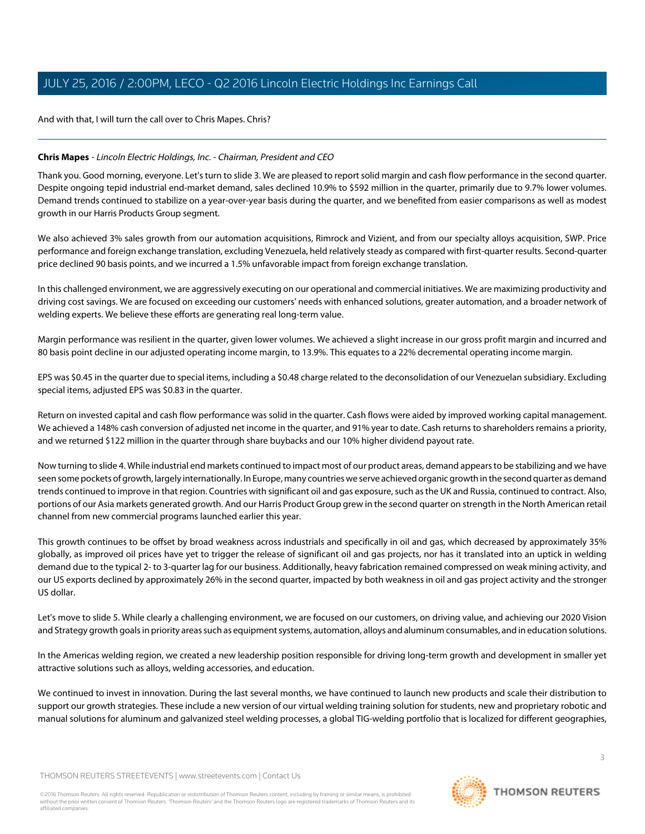And with that, I will turn the call over to Chris Mapes. Chris?

# <span id="page-2-0"></span>**Chris Mapes** - Lincoln Electric Holdings, Inc. - Chairman, President and CEO

Thank you. Good morning, everyone. Let's turn to slide 3. We are pleased to report solid margin and cash flow performance in the second quarter. Despite ongoing tepid industrial end-market demand, sales declined 10.9% to \$592 million in the quarter, primarily due to 9.7% lower volumes. Demand trends continued to stabilize on a year-over-year basis during the quarter, and we benefited from easier comparisons as well as modest growth in our Harris Products Group segment.

We also achieved 3% sales growth from our automation acquisitions, Rimrock and Vizient, and from our specialty alloys acquisition, SWP. Price performance and foreign exchange translation, excluding Venezuela, held relatively steady as compared with first-quarter results. Second-quarter price declined 90 basis points, and we incurred a 1.5% unfavorable impact from foreign exchange translation.

In this challenged environment, we are aggressively executing on our operational and commercial initiatives. We are maximizing productivity and driving cost savings. We are focused on exceeding our customers' needs with enhanced solutions, greater automation, and a broader network of welding experts. We believe these efforts are generating real long-term value.

Margin performance was resilient in the quarter, given lower volumes. We achieved a slight increase in our gross profit margin and incurred and 80 basis point decline in our adjusted operating income margin, to 13.9%. This equates to a 22% decremental operating income margin.

EPS was \$0.45 in the quarter due to special items, including a \$0.48 charge related to the deconsolidation of our Venezuelan subsidiary. Excluding special items, adjusted EPS was \$0.83 in the quarter.

Return on invested capital and cash flow performance was solid in the quarter. Cash flows were aided by improved working capital management. We achieved a 148% cash conversion of adjusted net income in the quarter, and 91% year to date. Cash returns to shareholders remains a priority, and we returned \$122 million in the quarter through share buybacks and our 10% higher dividend payout rate.

Now turning to slide 4. While industrial end markets continued to impact most of our product areas, demand appears to be stabilizing and we have seen some pockets of growth, largely internationally. In Europe, many countries we serve achieved organic growth in the second quarter as demand trends continued to improve in that region. Countries with significant oil and gas exposure, such as the UK and Russia, continued to contract. Also, portions of our Asia markets generated growth. And our Harris Product Group grew in the second quarter on strength in the North American retail channel from new commercial programs launched earlier this year.

This growth continues to be offset by broad weakness across industrials and specifically in oil and gas, which decreased by approximately 35% globally, as improved oil prices have yet to trigger the release of significant oil and gas projects, nor has it translated into an uptick in welding demand due to the typical 2- to 3-quarter lag for our business. Additionally, heavy fabrication remained compressed on weak mining activity, and our US exports declined by approximately 26% in the second quarter, impacted by both weakness in oil and gas project activity and the stronger US dollar.

Let's move to slide 5. While clearly a challenging environment, we are focused on our customers, on driving value, and achieving our 2020 Vision and Strategy growth goals in priority areas such as equipment systems, automation, alloys and aluminum consumables, and in education solutions.

In the Americas welding region, we created a new leadership position responsible for driving long-term growth and development in smaller yet attractive solutions such as alloys, welding accessories, and education.

We continued to invest in innovation. During the last several months, we have continued to launch new products and scale their distribution to support our growth strategies. These include a new version of our virtual welding training solution for students, new and proprietary robotic and manual solutions for aluminum and galvanized steel welding processes, a global TIG-welding portfolio that is localized for different geographies,

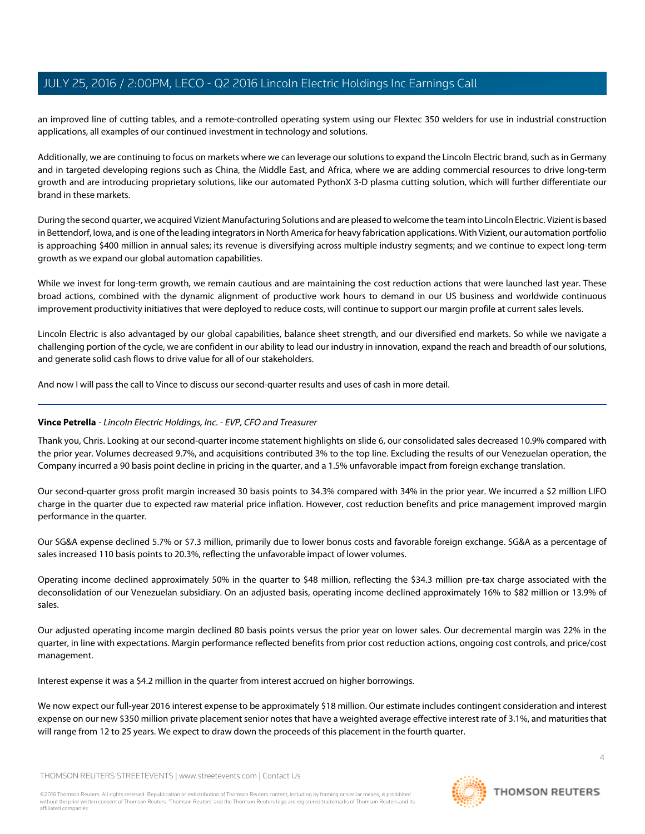an improved line of cutting tables, and a remote-controlled operating system using our Flextec 350 welders for use in industrial construction applications, all examples of our continued investment in technology and solutions.

Additionally, we are continuing to focus on markets where we can leverage our solutions to expand the Lincoln Electric brand, such as in Germany and in targeted developing regions such as China, the Middle East, and Africa, where we are adding commercial resources to drive long-term growth and are introducing proprietary solutions, like our automated PythonX 3-D plasma cutting solution, which will further differentiate our brand in these markets.

During the second quarter, we acquired Vizient Manufacturing Solutions and are pleased to welcome the team into Lincoln Electric. Vizient is based in Bettendorf, Iowa, and is one of the leading integrators in North America for heavy fabrication applications. With Vizient, our automation portfolio is approaching \$400 million in annual sales; its revenue is diversifying across multiple industry segments; and we continue to expect long-term growth as we expand our global automation capabilities.

While we invest for long-term growth, we remain cautious and are maintaining the cost reduction actions that were launched last year. These broad actions, combined with the dynamic alignment of productive work hours to demand in our US business and worldwide continuous improvement productivity initiatives that were deployed to reduce costs, will continue to support our margin profile at current sales levels.

Lincoln Electric is also advantaged by our global capabilities, balance sheet strength, and our diversified end markets. So while we navigate a challenging portion of the cycle, we are confident in our ability to lead our industry in innovation, expand the reach and breadth of our solutions, and generate solid cash flows to drive value for all of our stakeholders.

<span id="page-3-0"></span>And now I will pass the call to Vince to discuss our second-quarter results and uses of cash in more detail.

# **Vince Petrella** - Lincoln Electric Holdings, Inc. - EVP, CFO and Treasurer

Thank you, Chris. Looking at our second-quarter income statement highlights on slide 6, our consolidated sales decreased 10.9% compared with the prior year. Volumes decreased 9.7%, and acquisitions contributed 3% to the top line. Excluding the results of our Venezuelan operation, the Company incurred a 90 basis point decline in pricing in the quarter, and a 1.5% unfavorable impact from foreign exchange translation.

Our second-quarter gross profit margin increased 30 basis points to 34.3% compared with 34% in the prior year. We incurred a \$2 million LIFO charge in the quarter due to expected raw material price inflation. However, cost reduction benefits and price management improved margin performance in the quarter.

Our SG&A expense declined 5.7% or \$7.3 million, primarily due to lower bonus costs and favorable foreign exchange. SG&A as a percentage of sales increased 110 basis points to 20.3%, reflecting the unfavorable impact of lower volumes.

Operating income declined approximately 50% in the quarter to \$48 million, reflecting the \$34.3 million pre-tax charge associated with the deconsolidation of our Venezuelan subsidiary. On an adjusted basis, operating income declined approximately 16% to \$82 million or 13.9% of sales.

Our adjusted operating income margin declined 80 basis points versus the prior year on lower sales. Our decremental margin was 22% in the quarter, in line with expectations. Margin performance reflected benefits from prior cost reduction actions, ongoing cost controls, and price/cost management.

Interest expense it was a \$4.2 million in the quarter from interest accrued on higher borrowings.

We now expect our full-year 2016 interest expense to be approximately \$18 million. Our estimate includes contingent consideration and interest expense on our new \$350 million private placement senior notes that have a weighted average effective interest rate of 3.1%, and maturities that will range from 12 to 25 years. We expect to draw down the proceeds of this placement in the fourth quarter.

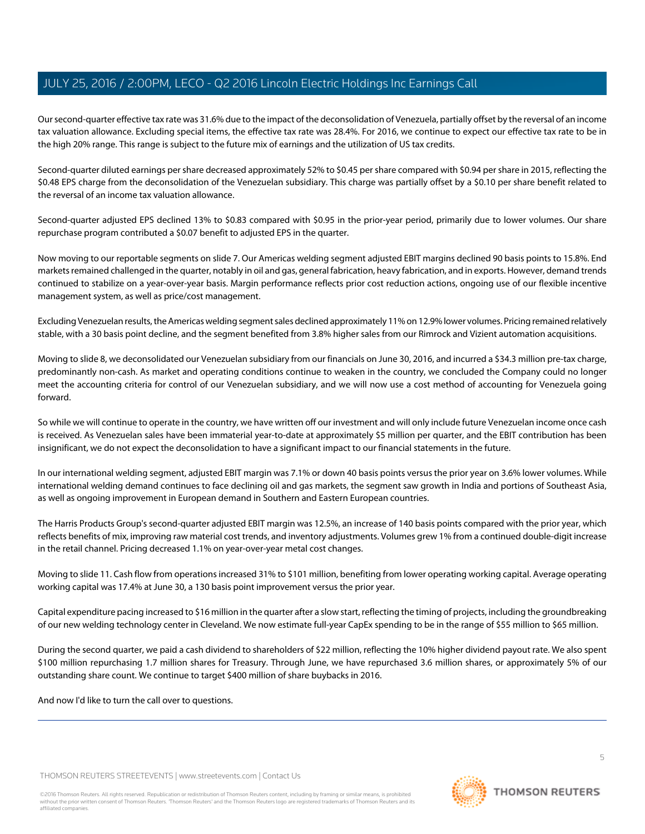Our second-quarter effective tax rate was 31.6% due to the impact of the deconsolidation of Venezuela, partially offset by the reversal of an income tax valuation allowance. Excluding special items, the effective tax rate was 28.4%. For 2016, we continue to expect our effective tax rate to be in the high 20% range. This range is subject to the future mix of earnings and the utilization of US tax credits.

Second-quarter diluted earnings per share decreased approximately 52% to \$0.45 per share compared with \$0.94 per share in 2015, reflecting the \$0.48 EPS charge from the deconsolidation of the Venezuelan subsidiary. This charge was partially offset by a \$0.10 per share benefit related to the reversal of an income tax valuation allowance.

Second-quarter adjusted EPS declined 13% to \$0.83 compared with \$0.95 in the prior-year period, primarily due to lower volumes. Our share repurchase program contributed a \$0.07 benefit to adjusted EPS in the quarter.

Now moving to our reportable segments on slide 7. Our Americas welding segment adjusted EBIT margins declined 90 basis points to 15.8%. End markets remained challenged in the quarter, notably in oil and gas, general fabrication, heavy fabrication, and in exports. However, demand trends continued to stabilize on a year-over-year basis. Margin performance reflects prior cost reduction actions, ongoing use of our flexible incentive management system, as well as price/cost management.

Excluding Venezuelan results, the Americas welding segment sales declined approximately 11% on 12.9% lower volumes. Pricing remained relatively stable, with a 30 basis point decline, and the segment benefited from 3.8% higher sales from our Rimrock and Vizient automation acquisitions.

Moving to slide 8, we deconsolidated our Venezuelan subsidiary from our financials on June 30, 2016, and incurred a \$34.3 million pre-tax charge, predominantly non-cash. As market and operating conditions continue to weaken in the country, we concluded the Company could no longer meet the accounting criteria for control of our Venezuelan subsidiary, and we will now use a cost method of accounting for Venezuela going forward.

So while we will continue to operate in the country, we have written off our investment and will only include future Venezuelan income once cash is received. As Venezuelan sales have been immaterial year-to-date at approximately \$5 million per quarter, and the EBIT contribution has been insignificant, we do not expect the deconsolidation to have a significant impact to our financial statements in the future.

In our international welding segment, adjusted EBIT margin was 7.1% or down 40 basis points versus the prior year on 3.6% lower volumes. While international welding demand continues to face declining oil and gas markets, the segment saw growth in India and portions of Southeast Asia, as well as ongoing improvement in European demand in Southern and Eastern European countries.

The Harris Products Group's second-quarter adjusted EBIT margin was 12.5%, an increase of 140 basis points compared with the prior year, which reflects benefits of mix, improving raw material cost trends, and inventory adjustments. Volumes grew 1% from a continued double-digit increase in the retail channel. Pricing decreased 1.1% on year-over-year metal cost changes.

Moving to slide 11. Cash flow from operations increased 31% to \$101 million, benefiting from lower operating working capital. Average operating working capital was 17.4% at June 30, a 130 basis point improvement versus the prior year.

Capital expenditure pacing increased to \$16 million in the quarter after a slow start, reflecting the timing of projects, including the groundbreaking of our new welding technology center in Cleveland. We now estimate full-year CapEx spending to be in the range of \$55 million to \$65 million.

During the second quarter, we paid a cash dividend to shareholders of \$22 million, reflecting the 10% higher dividend payout rate. We also spent \$100 million repurchasing 1.7 million shares for Treasury. Through June, we have repurchased 3.6 million shares, or approximately 5% of our outstanding share count. We continue to target \$400 million of share buybacks in 2016.

And now I'd like to turn the call over to questions.

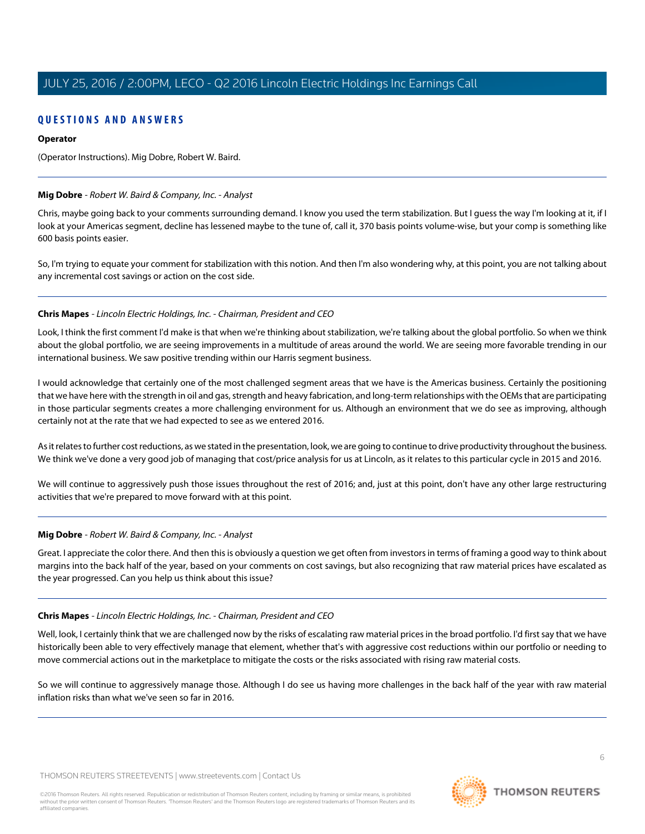# **QUESTIONS AND ANSWERS**

### **Operator**

(Operator Instructions). Mig Dobre, Robert W. Baird.

### <span id="page-5-0"></span>**Mig Dobre** - Robert W. Baird & Company, Inc. - Analyst

Chris, maybe going back to your comments surrounding demand. I know you used the term stabilization. But I guess the way I'm looking at it, if I look at your Americas segment, decline has lessened maybe to the tune of, call it, 370 basis points volume-wise, but your comp is something like 600 basis points easier.

So, I'm trying to equate your comment for stabilization with this notion. And then I'm also wondering why, at this point, you are not talking about any incremental cost savings or action on the cost side.

### **Chris Mapes** - Lincoln Electric Holdings, Inc. - Chairman, President and CEO

Look, I think the first comment I'd make is that when we're thinking about stabilization, we're talking about the global portfolio. So when we think about the global portfolio, we are seeing improvements in a multitude of areas around the world. We are seeing more favorable trending in our international business. We saw positive trending within our Harris segment business.

I would acknowledge that certainly one of the most challenged segment areas that we have is the Americas business. Certainly the positioning that we have here with the strength in oil and gas, strength and heavy fabrication, and long-term relationships with the OEMs that are participating in those particular segments creates a more challenging environment for us. Although an environment that we do see as improving, although certainly not at the rate that we had expected to see as we entered 2016.

As it relates to further cost reductions, as we stated in the presentation, look, we are going to continue to drive productivity throughout the business. We think we've done a very good job of managing that cost/price analysis for us at Lincoln, as it relates to this particular cycle in 2015 and 2016.

We will continue to aggressively push those issues throughout the rest of 2016; and, just at this point, don't have any other large restructuring activities that we're prepared to move forward with at this point.

# **Mig Dobre** - Robert W. Baird & Company, Inc. - Analyst

Great. I appreciate the color there. And then this is obviously a question we get often from investors in terms of framing a good way to think about margins into the back half of the year, based on your comments on cost savings, but also recognizing that raw material prices have escalated as the year progressed. Can you help us think about this issue?

# **Chris Mapes** - Lincoln Electric Holdings, Inc. - Chairman, President and CEO

Well, look, I certainly think that we are challenged now by the risks of escalating raw material prices in the broad portfolio. I'd first say that we have historically been able to very effectively manage that element, whether that's with aggressive cost reductions within our portfolio or needing to move commercial actions out in the marketplace to mitigate the costs or the risks associated with rising raw material costs.

So we will continue to aggressively manage those. Although I do see us having more challenges in the back half of the year with raw material inflation risks than what we've seen so far in 2016.

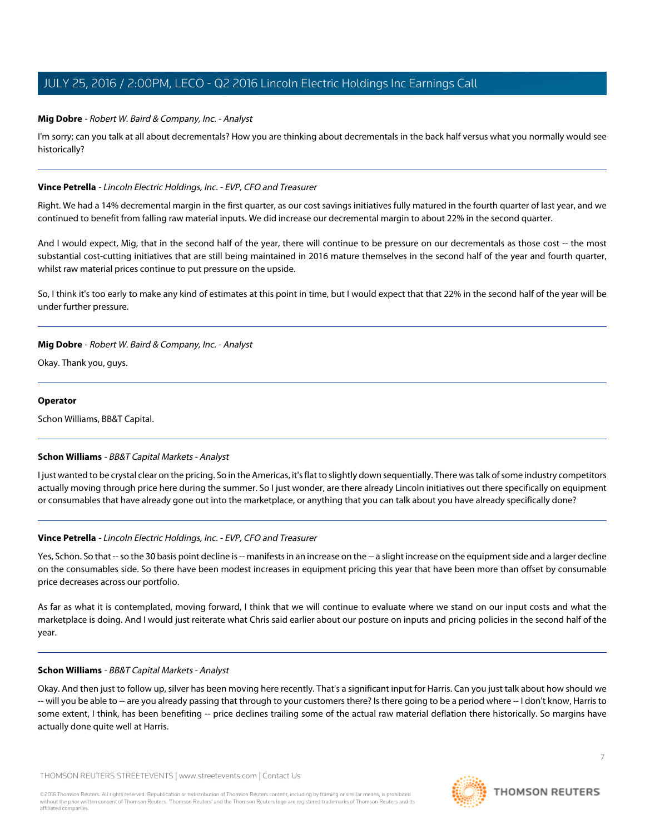### **Mig Dobre** - Robert W. Baird & Company, Inc. - Analyst

I'm sorry; can you talk at all about decrementals? How you are thinking about decrementals in the back half versus what you normally would see historically?

#### **Vince Petrella** - Lincoln Electric Holdings, Inc. - EVP, CFO and Treasurer

Right. We had a 14% decremental margin in the first quarter, as our cost savings initiatives fully matured in the fourth quarter of last year, and we continued to benefit from falling raw material inputs. We did increase our decremental margin to about 22% in the second quarter.

And I would expect, Mig, that in the second half of the year, there will continue to be pressure on our decrementals as those cost -- the most substantial cost-cutting initiatives that are still being maintained in 2016 mature themselves in the second half of the year and fourth quarter, whilst raw material prices continue to put pressure on the upside.

So, I think it's too early to make any kind of estimates at this point in time, but I would expect that that 22% in the second half of the year will be under further pressure.

### **Mig Dobre** - Robert W. Baird & Company, Inc. - Analyst

Okay. Thank you, guys.

#### **Operator**

<span id="page-6-0"></span>Schon Williams, BB&T Capital.

#### **Schon Williams** - BB&T Capital Markets - Analyst

I just wanted to be crystal clear on the pricing. So in the Americas, it's flat to slightly down sequentially. There was talk of some industry competitors actually moving through price here during the summer. So I just wonder, are there already Lincoln initiatives out there specifically on equipment or consumables that have already gone out into the marketplace, or anything that you can talk about you have already specifically done?

# **Vince Petrella** - Lincoln Electric Holdings, Inc. - EVP, CFO and Treasurer

Yes, Schon. So that -- so the 30 basis point decline is -- manifests in an increase on the -- a slight increase on the equipment side and a larger decline on the consumables side. So there have been modest increases in equipment pricing this year that have been more than offset by consumable price decreases across our portfolio.

As far as what it is contemplated, moving forward, I think that we will continue to evaluate where we stand on our input costs and what the marketplace is doing. And I would just reiterate what Chris said earlier about our posture on inputs and pricing policies in the second half of the year.

#### **Schon Williams** - BB&T Capital Markets - Analyst

Okay. And then just to follow up, silver has been moving here recently. That's a significant input for Harris. Can you just talk about how should we -- will you be able to -- are you already passing that through to your customers there? Is there going to be a period where -- I don't know, Harris to some extent, I think, has been benefiting -- price declines trailing some of the actual raw material deflation there historically. So margins have actually done quite well at Harris.

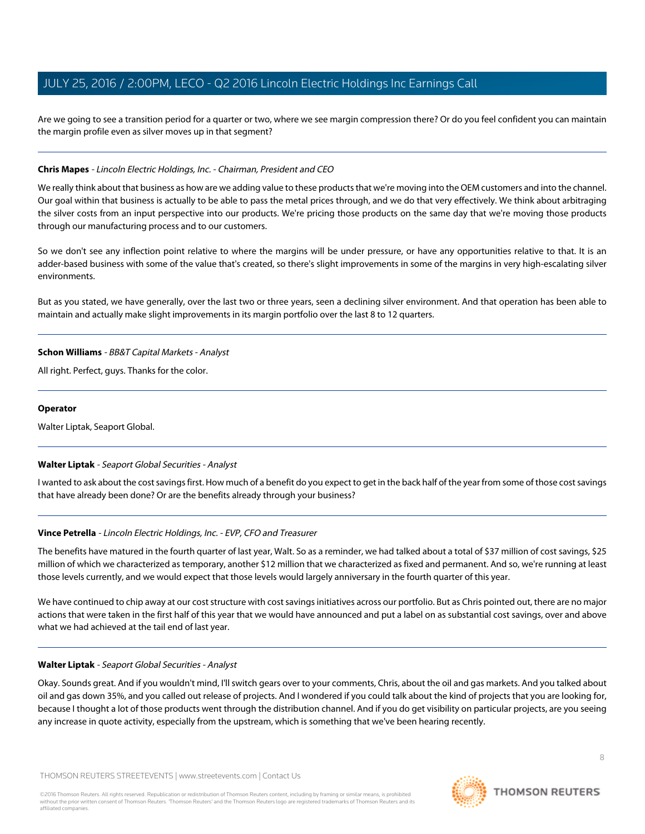Are we going to see a transition period for a quarter or two, where we see margin compression there? Or do you feel confident you can maintain the margin profile even as silver moves up in that segment?

# **Chris Mapes** - Lincoln Electric Holdings, Inc. - Chairman, President and CEO

We really think about that business as how are we adding value to these products that we're moving into the OEM customers and into the channel. Our goal within that business is actually to be able to pass the metal prices through, and we do that very effectively. We think about arbitraging the silver costs from an input perspective into our products. We're pricing those products on the same day that we're moving those products through our manufacturing process and to our customers.

So we don't see any inflection point relative to where the margins will be under pressure, or have any opportunities relative to that. It is an adder-based business with some of the value that's created, so there's slight improvements in some of the margins in very high-escalating silver environments.

But as you stated, we have generally, over the last two or three years, seen a declining silver environment. And that operation has been able to maintain and actually make slight improvements in its margin portfolio over the last 8 to 12 quarters.

### **Schon Williams** - BB&T Capital Markets - Analyst

All right. Perfect, guys. Thanks for the color.

### **Operator**

<span id="page-7-0"></span>Walter Liptak, Seaport Global.

# **Walter Liptak** - Seaport Global Securities - Analyst

I wanted to ask about the cost savings first. How much of a benefit do you expect to get in the back half of the year from some of those cost savings that have already been done? Or are the benefits already through your business?

# **Vince Petrella** - Lincoln Electric Holdings, Inc. - EVP, CFO and Treasurer

The benefits have matured in the fourth quarter of last year, Walt. So as a reminder, we had talked about a total of \$37 million of cost savings, \$25 million of which we characterized as temporary, another \$12 million that we characterized as fixed and permanent. And so, we're running at least those levels currently, and we would expect that those levels would largely anniversary in the fourth quarter of this year.

We have continued to chip away at our cost structure with cost savings initiatives across our portfolio. But as Chris pointed out, there are no major actions that were taken in the first half of this year that we would have announced and put a label on as substantial cost savings, over and above what we had achieved at the tail end of last year.

#### **Walter Liptak** - Seaport Global Securities - Analyst

Okay. Sounds great. And if you wouldn't mind, I'll switch gears over to your comments, Chris, about the oil and gas markets. And you talked about oil and gas down 35%, and you called out release of projects. And I wondered if you could talk about the kind of projects that you are looking for, because I thought a lot of those products went through the distribution channel. And if you do get visibility on particular projects, are you seeing any increase in quote activity, especially from the upstream, which is something that we've been hearing recently.

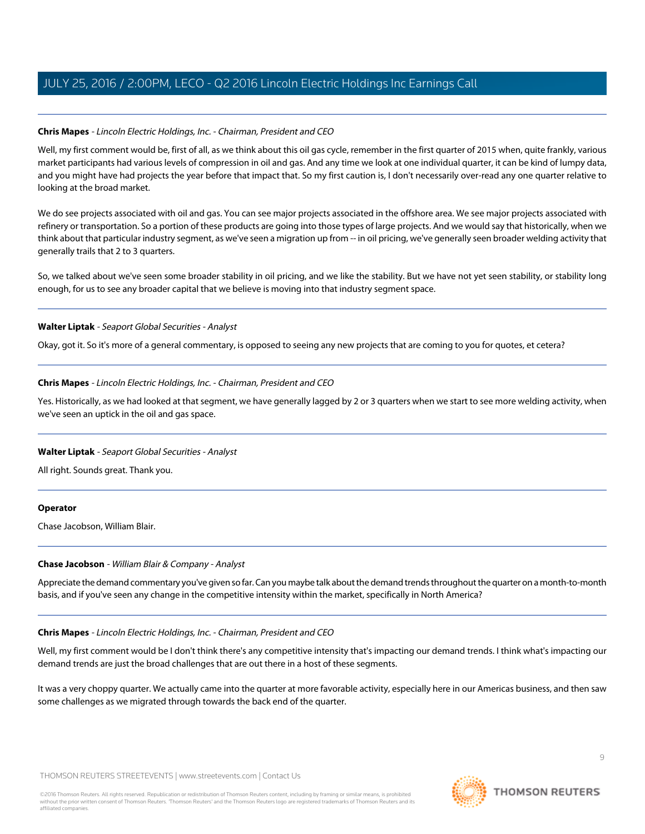# **Chris Mapes** - Lincoln Electric Holdings, Inc. - Chairman, President and CEO

Well, my first comment would be, first of all, as we think about this oil gas cycle, remember in the first quarter of 2015 when, quite frankly, various market participants had various levels of compression in oil and gas. And any time we look at one individual quarter, it can be kind of lumpy data, and you might have had projects the year before that impact that. So my first caution is, I don't necessarily over-read any one quarter relative to looking at the broad market.

We do see projects associated with oil and gas. You can see major projects associated in the offshore area. We see major projects associated with refinery or transportation. So a portion of these products are going into those types of large projects. And we would say that historically, when we think about that particular industry segment, as we've seen a migration up from -- in oil pricing, we've generally seen broader welding activity that generally trails that 2 to 3 quarters.

So, we talked about we've seen some broader stability in oil pricing, and we like the stability. But we have not yet seen stability, or stability long enough, for us to see any broader capital that we believe is moving into that industry segment space.

# **Walter Liptak** - Seaport Global Securities - Analyst

Okay, got it. So it's more of a general commentary, is opposed to seeing any new projects that are coming to you for quotes, et cetera?

### **Chris Mapes** - Lincoln Electric Holdings, Inc. - Chairman, President and CEO

Yes. Historically, as we had looked at that segment, we have generally lagged by 2 or 3 quarters when we start to see more welding activity, when we've seen an uptick in the oil and gas space.

# **Walter Liptak** - Seaport Global Securities - Analyst

All right. Sounds great. Thank you.

#### <span id="page-8-0"></span>**Operator**

Chase Jacobson, William Blair.

# **Chase Jacobson** - William Blair & Company - Analyst

Appreciate the demand commentary you've given so far. Can you maybe talk about the demand trends throughout the quarter on a month-to-month basis, and if you've seen any change in the competitive intensity within the market, specifically in North America?

# **Chris Mapes** - Lincoln Electric Holdings, Inc. - Chairman, President and CEO

Well, my first comment would be I don't think there's any competitive intensity that's impacting our demand trends. I think what's impacting our demand trends are just the broad challenges that are out there in a host of these segments.

It was a very choppy quarter. We actually came into the quarter at more favorable activity, especially here in our Americas business, and then saw some challenges as we migrated through towards the back end of the quarter.

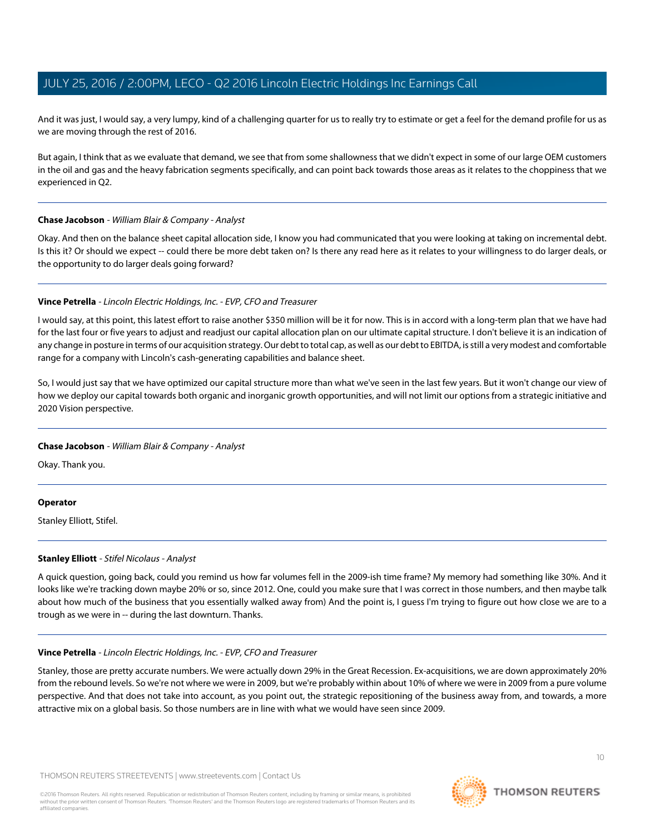And it was just, I would say, a very lumpy, kind of a challenging quarter for us to really try to estimate or get a feel for the demand profile for us as we are moving through the rest of 2016.

But again, I think that as we evaluate that demand, we see that from some shallowness that we didn't expect in some of our large OEM customers in the oil and gas and the heavy fabrication segments specifically, and can point back towards those areas as it relates to the choppiness that we experienced in Q2.

# **Chase Jacobson** - William Blair & Company - Analyst

Okay. And then on the balance sheet capital allocation side, I know you had communicated that you were looking at taking on incremental debt. Is this it? Or should we expect -- could there be more debt taken on? Is there any read here as it relates to your willingness to do larger deals, or the opportunity to do larger deals going forward?

# **Vince Petrella** - Lincoln Electric Holdings, Inc. - EVP, CFO and Treasurer

I would say, at this point, this latest effort to raise another \$350 million will be it for now. This is in accord with a long-term plan that we have had for the last four or five years to adjust and readjust our capital allocation plan on our ultimate capital structure. I don't believe it is an indication of any change in posture in terms of our acquisition strategy. Our debt to total cap, as well as our debt to EBITDA, is still a very modest and comfortable range for a company with Lincoln's cash-generating capabilities and balance sheet.

So, I would just say that we have optimized our capital structure more than what we've seen in the last few years. But it won't change our view of how we deploy our capital towards both organic and inorganic growth opportunities, and will not limit our options from a strategic initiative and 2020 Vision perspective.

# **Chase Jacobson** - William Blair & Company - Analyst

Okay. Thank you.

# <span id="page-9-0"></span>**Operator**

Stanley Elliott, Stifel.

# **Stanley Elliott** - Stifel Nicolaus - Analyst

A quick question, going back, could you remind us how far volumes fell in the 2009-ish time frame? My memory had something like 30%. And it looks like we're tracking down maybe 20% or so, since 2012. One, could you make sure that I was correct in those numbers, and then maybe talk about how much of the business that you essentially walked away from) And the point is, I guess I'm trying to figure out how close we are to a trough as we were in -- during the last downturn. Thanks.

# **Vince Petrella** - Lincoln Electric Holdings, Inc. - EVP, CFO and Treasurer

Stanley, those are pretty accurate numbers. We were actually down 29% in the Great Recession. Ex-acquisitions, we are down approximately 20% from the rebound levels. So we're not where we were in 2009, but we're probably within about 10% of where we were in 2009 from a pure volume perspective. And that does not take into account, as you point out, the strategic repositioning of the business away from, and towards, a more attractive mix on a global basis. So those numbers are in line with what we would have seen since 2009.



**THOMSON REUTERS** 

 $1<sup>0</sup>$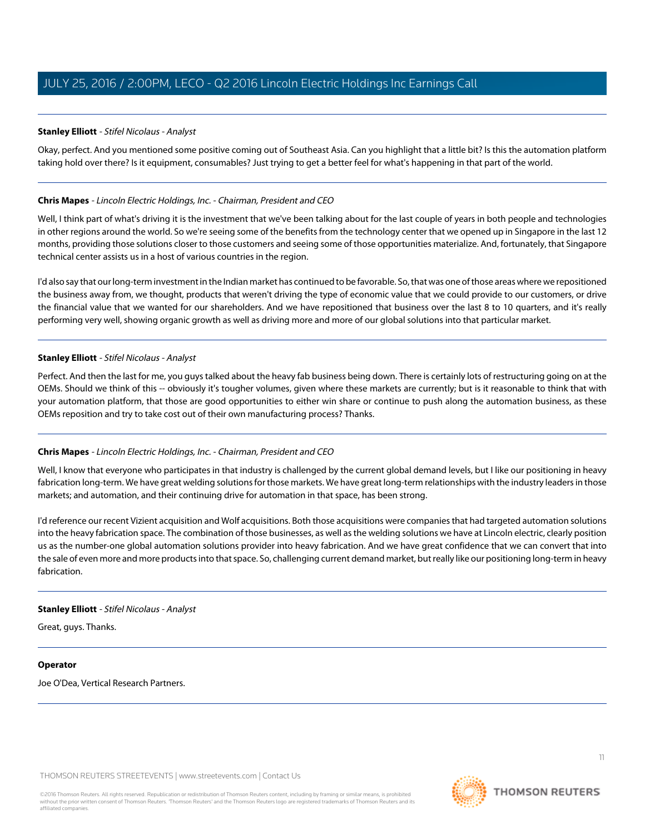### **Stanley Elliott** - Stifel Nicolaus - Analyst

Okay, perfect. And you mentioned some positive coming out of Southeast Asia. Can you highlight that a little bit? Is this the automation platform taking hold over there? Is it equipment, consumables? Just trying to get a better feel for what's happening in that part of the world.

### **Chris Mapes** - Lincoln Electric Holdings, Inc. - Chairman, President and CEO

Well, I think part of what's driving it is the investment that we've been talking about for the last couple of years in both people and technologies in other regions around the world. So we're seeing some of the benefits from the technology center that we opened up in Singapore in the last 12 months, providing those solutions closer to those customers and seeing some of those opportunities materialize. And, fortunately, that Singapore technical center assists us in a host of various countries in the region.

I'd also say that our long-term investment in the Indian market has continued to be favorable. So, that was one of those areas where we repositioned the business away from, we thought, products that weren't driving the type of economic value that we could provide to our customers, or drive the financial value that we wanted for our shareholders. And we have repositioned that business over the last 8 to 10 quarters, and it's really performing very well, showing organic growth as well as driving more and more of our global solutions into that particular market.

### **Stanley Elliott** - Stifel Nicolaus - Analyst

Perfect. And then the last for me, you guys talked about the heavy fab business being down. There is certainly lots of restructuring going on at the OEMs. Should we think of this -- obviously it's tougher volumes, given where these markets are currently; but is it reasonable to think that with your automation platform, that those are good opportunities to either win share or continue to push along the automation business, as these OEMs reposition and try to take cost out of their own manufacturing process? Thanks.

# **Chris Mapes** - Lincoln Electric Holdings, Inc. - Chairman, President and CEO

Well, I know that everyone who participates in that industry is challenged by the current global demand levels, but I like our positioning in heavy fabrication long-term. We have great welding solutions for those markets. We have great long-term relationships with the industry leaders in those markets; and automation, and their continuing drive for automation in that space, has been strong.

I'd reference our recent Vizient acquisition and Wolf acquisitions. Both those acquisitions were companies that had targeted automation solutions into the heavy fabrication space. The combination of those businesses, as well as the welding solutions we have at Lincoln electric, clearly position us as the number-one global automation solutions provider into heavy fabrication. And we have great confidence that we can convert that into the sale of even more and more products into that space. So, challenging current demand market, but really like our positioning long-term in heavy fabrication.

#### **Stanley Elliott** - Stifel Nicolaus - Analyst

Great, guys. Thanks.

#### **Operator**

Joe O'Dea, Vertical Research Partners.

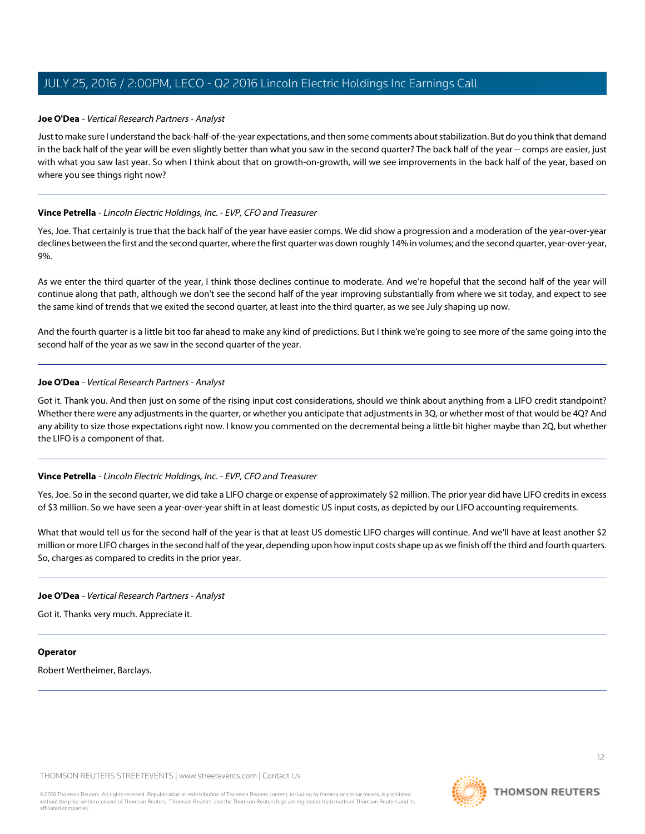### <span id="page-11-0"></span>**Joe O'Dea** - Vertical Research Partners - Analyst

Just to make sure I understand the back-half-of-the-year expectations, and then some comments about stabilization. But do you think that demand in the back half of the year will be even slightly better than what you saw in the second quarter? The back half of the year -- comps are easier, just with what you saw last year. So when I think about that on growth-on-growth, will we see improvements in the back half of the year, based on where you see things right now?

### **Vince Petrella** - Lincoln Electric Holdings, Inc. - EVP, CFO and Treasurer

Yes, Joe. That certainly is true that the back half of the year have easier comps. We did show a progression and a moderation of the year-over-year declines between the first and the second quarter, where the first quarter was down roughly 14% in volumes; and the second quarter, year-over-year, 9%.

As we enter the third quarter of the year, I think those declines continue to moderate. And we're hopeful that the second half of the year will continue along that path, although we don't see the second half of the year improving substantially from where we sit today, and expect to see the same kind of trends that we exited the second quarter, at least into the third quarter, as we see July shaping up now.

And the fourth quarter is a little bit too far ahead to make any kind of predictions. But I think we're going to see more of the same going into the second half of the year as we saw in the second quarter of the year.

### **Joe O'Dea** - Vertical Research Partners - Analyst

Got it. Thank you. And then just on some of the rising input cost considerations, should we think about anything from a LIFO credit standpoint? Whether there were any adjustments in the quarter, or whether you anticipate that adjustments in 3Q, or whether most of that would be 4Q? And any ability to size those expectations right now. I know you commented on the decremental being a little bit higher maybe than 2Q, but whether the LIFO is a component of that.

# **Vince Petrella** - Lincoln Electric Holdings, Inc. - EVP, CFO and Treasurer

Yes, Joe. So in the second quarter, we did take a LIFO charge or expense of approximately \$2 million. The prior year did have LIFO credits in excess of \$3 million. So we have seen a year-over-year shift in at least domestic US input costs, as depicted by our LIFO accounting requirements.

What that would tell us for the second half of the year is that at least US domestic LIFO charges will continue. And we'll have at least another \$2 million or more LIFO charges in the second half of the year, depending upon how input costs shape up as we finish off the third and fourth quarters. So, charges as compared to credits in the prior year.

#### **Joe O'Dea** - Vertical Research Partners - Analyst

Got it. Thanks very much. Appreciate it.

#### **Operator**

Robert Wertheimer, Barclays.

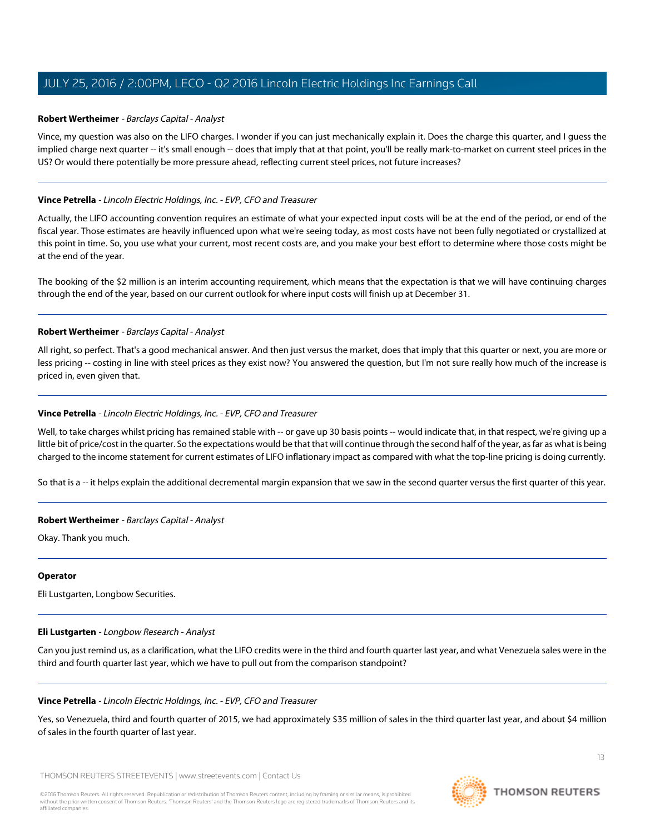### <span id="page-12-0"></span>**Robert Wertheimer** - Barclays Capital - Analyst

Vince, my question was also on the LIFO charges. I wonder if you can just mechanically explain it. Does the charge this quarter, and I guess the implied charge next quarter -- it's small enough -- does that imply that at that point, you'll be really mark-to-market on current steel prices in the US? Or would there potentially be more pressure ahead, reflecting current steel prices, not future increases?

### **Vince Petrella** - Lincoln Electric Holdings, Inc. - EVP, CFO and Treasurer

Actually, the LIFO accounting convention requires an estimate of what your expected input costs will be at the end of the period, or end of the fiscal year. Those estimates are heavily influenced upon what we're seeing today, as most costs have not been fully negotiated or crystallized at this point in time. So, you use what your current, most recent costs are, and you make your best effort to determine where those costs might be at the end of the year.

The booking of the \$2 million is an interim accounting requirement, which means that the expectation is that we will have continuing charges through the end of the year, based on our current outlook for where input costs will finish up at December 31.

### **Robert Wertheimer** - Barclays Capital - Analyst

All right, so perfect. That's a good mechanical answer. And then just versus the market, does that imply that this quarter or next, you are more or less pricing -- costing in line with steel prices as they exist now? You answered the question, but I'm not sure really how much of the increase is priced in, even given that.

### **Vince Petrella** - Lincoln Electric Holdings, Inc. - EVP, CFO and Treasurer

Well, to take charges whilst pricing has remained stable with -- or gave up 30 basis points -- would indicate that, in that respect, we're giving up a little bit of price/cost in the quarter. So the expectations would be that that will continue through the second half of the year, as far as what is being charged to the income statement for current estimates of LIFO inflationary impact as compared with what the top-line pricing is doing currently.

So that is a -- it helps explain the additional decremental margin expansion that we saw in the second quarter versus the first quarter of this year.

#### **Robert Wertheimer** - Barclays Capital - Analyst

Okay. Thank you much.

#### <span id="page-12-1"></span>**Operator**

Eli Lustgarten, Longbow Securities.

#### **Eli Lustgarten** - Longbow Research - Analyst

Can you just remind us, as a clarification, what the LIFO credits were in the third and fourth quarter last year, and what Venezuela sales were in the third and fourth quarter last year, which we have to pull out from the comparison standpoint?

#### **Vince Petrella** - Lincoln Electric Holdings, Inc. - EVP, CFO and Treasurer

Yes, so Venezuela, third and fourth quarter of 2015, we had approximately \$35 million of sales in the third quarter last year, and about \$4 million of sales in the fourth quarter of last year.

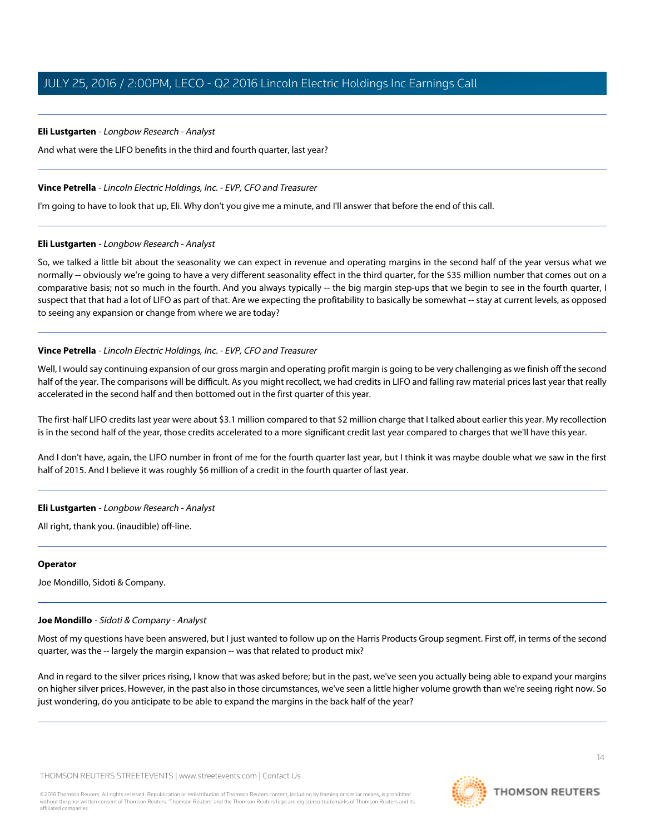# **Eli Lustgarten** - Longbow Research - Analyst

And what were the LIFO benefits in the third and fourth quarter, last year?

### **Vince Petrella** - Lincoln Electric Holdings, Inc. - EVP, CFO and Treasurer

I'm going to have to look that up, Eli. Why don't you give me a minute, and I'll answer that before the end of this call.

### **Eli Lustgarten** - Longbow Research - Analyst

So, we talked a little bit about the seasonality we can expect in revenue and operating margins in the second half of the year versus what we normally -- obviously we're going to have a very different seasonality effect in the third quarter, for the \$35 million number that comes out on a comparative basis; not so much in the fourth. And you always typically -- the big margin step-ups that we begin to see in the fourth quarter, I suspect that that had a lot of LIFO as part of that. Are we expecting the profitability to basically be somewhat -- stay at current levels, as opposed to seeing any expansion or change from where we are today?

# **Vince Petrella** - Lincoln Electric Holdings, Inc. - EVP, CFO and Treasurer

Well, I would say continuing expansion of our gross margin and operating profit margin is going to be very challenging as we finish off the second half of the year. The comparisons will be difficult. As you might recollect, we had credits in LIFO and falling raw material prices last year that really accelerated in the second half and then bottomed out in the first quarter of this year.

The first-half LIFO credits last year were about \$3.1 million compared to that \$2 million charge that I talked about earlier this year. My recollection is in the second half of the year, those credits accelerated to a more significant credit last year compared to charges that we'll have this year.

And I don't have, again, the LIFO number in front of me for the fourth quarter last year, but I think it was maybe double what we saw in the first half of 2015. And I believe it was roughly \$6 million of a credit in the fourth quarter of last year.

# **Eli Lustgarten** - Longbow Research - Analyst

All right, thank you. (inaudible) off-line.

#### <span id="page-13-0"></span>**Operator**

Joe Mondillo, Sidoti & Company.

# **Joe Mondillo** - Sidoti & Company - Analyst

Most of my questions have been answered, but I just wanted to follow up on the Harris Products Group segment. First off, in terms of the second quarter, was the -- largely the margin expansion -- was that related to product mix?

And in regard to the silver prices rising, I know that was asked before; but in the past, we've seen you actually being able to expand your margins on higher silver prices. However, in the past also in those circumstances, we've seen a little higher volume growth than we're seeing right now. So just wondering, do you anticipate to be able to expand the margins in the back half of the year?



 $14$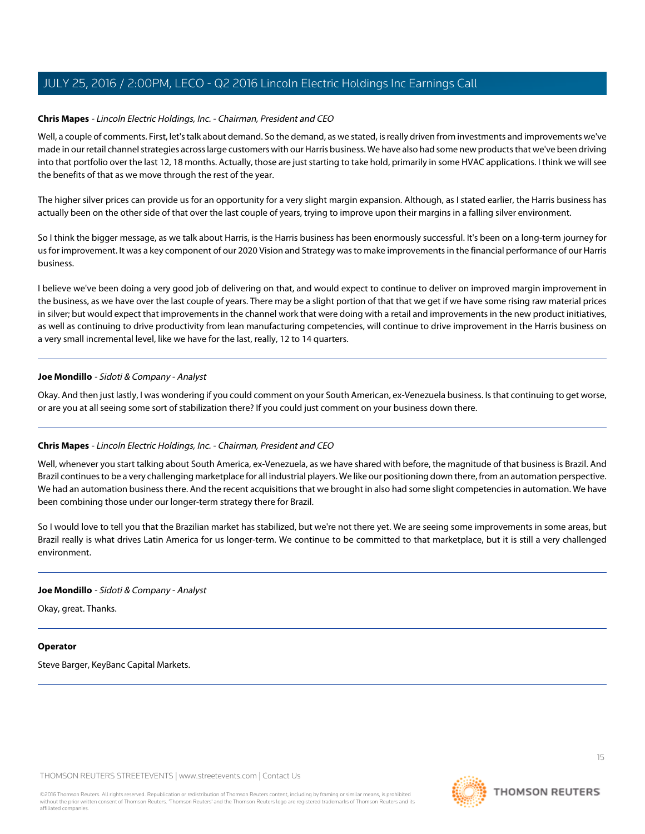# **Chris Mapes** - Lincoln Electric Holdings, Inc. - Chairman, President and CEO

Well, a couple of comments. First, let's talk about demand. So the demand, as we stated, is really driven from investments and improvements we've made in our retail channel strategies across large customers with our Harris business. We have also had some new products that we've been driving into that portfolio over the last 12, 18 months. Actually, those are just starting to take hold, primarily in some HVAC applications. I think we will see the benefits of that as we move through the rest of the year.

The higher silver prices can provide us for an opportunity for a very slight margin expansion. Although, as I stated earlier, the Harris business has actually been on the other side of that over the last couple of years, trying to improve upon their margins in a falling silver environment.

So I think the bigger message, as we talk about Harris, is the Harris business has been enormously successful. It's been on a long-term journey for us for improvement. It was a key component of our 2020 Vision and Strategy was to make improvements in the financial performance of our Harris business.

I believe we've been doing a very good job of delivering on that, and would expect to continue to deliver on improved margin improvement in the business, as we have over the last couple of years. There may be a slight portion of that that we get if we have some rising raw material prices in silver; but would expect that improvements in the channel work that were doing with a retail and improvements in the new product initiatives, as well as continuing to drive productivity from lean manufacturing competencies, will continue to drive improvement in the Harris business on a very small incremental level, like we have for the last, really, 12 to 14 quarters.

### **Joe Mondillo** - Sidoti & Company - Analyst

Okay. And then just lastly, I was wondering if you could comment on your South American, ex-Venezuela business. Is that continuing to get worse, or are you at all seeing some sort of stabilization there? If you could just comment on your business down there.

#### **Chris Mapes** - Lincoln Electric Holdings, Inc. - Chairman, President and CEO

Well, whenever you start talking about South America, ex-Venezuela, as we have shared with before, the magnitude of that business is Brazil. And Brazil continues to be a very challenging marketplace for all industrial players. We like our positioning down there, from an automation perspective. We had an automation business there. And the recent acquisitions that we brought in also had some slight competencies in automation. We have been combining those under our longer-term strategy there for Brazil.

So I would love to tell you that the Brazilian market has stabilized, but we're not there yet. We are seeing some improvements in some areas, but Brazil really is what drives Latin America for us longer-term. We continue to be committed to that marketplace, but it is still a very challenged environment.

#### **Joe Mondillo** - Sidoti & Company - Analyst

Okay, great. Thanks.

#### **Operator**

Steve Barger, KeyBanc Capital Markets.



15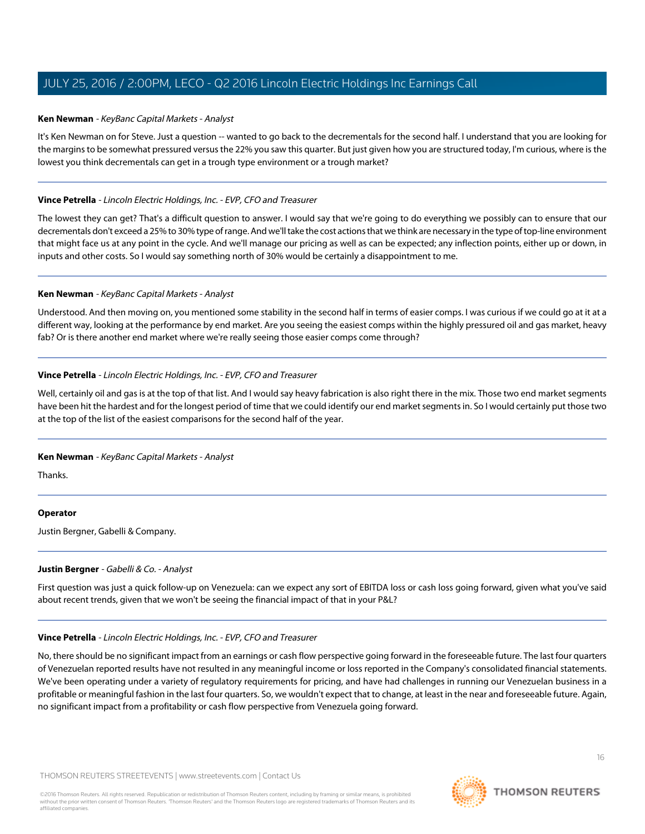### <span id="page-15-0"></span>**Ken Newman** - KeyBanc Capital Markets - Analyst

It's Ken Newman on for Steve. Just a question -- wanted to go back to the decrementals for the second half. I understand that you are looking for the margins to be somewhat pressured versus the 22% you saw this quarter. But just given how you are structured today, I'm curious, where is the lowest you think decrementals can get in a trough type environment or a trough market?

### **Vince Petrella** - Lincoln Electric Holdings, Inc. - EVP, CFO and Treasurer

The lowest they can get? That's a difficult question to answer. I would say that we're going to do everything we possibly can to ensure that our decrementals don't exceed a 25% to 30% type of range. And we'll take the cost actions that we think are necessary in the type of top-line environment that might face us at any point in the cycle. And we'll manage our pricing as well as can be expected; any inflection points, either up or down, in inputs and other costs. So I would say something north of 30% would be certainly a disappointment to me.

### **Ken Newman** - KeyBanc Capital Markets - Analyst

Understood. And then moving on, you mentioned some stability in the second half in terms of easier comps. I was curious if we could go at it at a different way, looking at the performance by end market. Are you seeing the easiest comps within the highly pressured oil and gas market, heavy fab? Or is there another end market where we're really seeing those easier comps come through?

### **Vince Petrella** - Lincoln Electric Holdings, Inc. - EVP, CFO and Treasurer

Well, certainly oil and gas is at the top of that list. And I would say heavy fabrication is also right there in the mix. Those two end market segments have been hit the hardest and for the longest period of time that we could identify our end market segments in. So I would certainly put those two at the top of the list of the easiest comparisons for the second half of the year.

#### **Ken Newman** - KeyBanc Capital Markets - Analyst

Thanks.

# <span id="page-15-1"></span>**Operator**

Justin Bergner, Gabelli & Company.

#### **Justin Bergner** - Gabelli & Co. - Analyst

First question was just a quick follow-up on Venezuela: can we expect any sort of EBITDA loss or cash loss going forward, given what you've said about recent trends, given that we won't be seeing the financial impact of that in your P&L?

#### **Vince Petrella** - Lincoln Electric Holdings, Inc. - EVP, CFO and Treasurer

No, there should be no significant impact from an earnings or cash flow perspective going forward in the foreseeable future. The last four quarters of Venezuelan reported results have not resulted in any meaningful income or loss reported in the Company's consolidated financial statements. We've been operating under a variety of regulatory requirements for pricing, and have had challenges in running our Venezuelan business in a profitable or meaningful fashion in the last four quarters. So, we wouldn't expect that to change, at least in the near and foreseeable future. Again, no significant impact from a profitability or cash flow perspective from Venezuela going forward.



16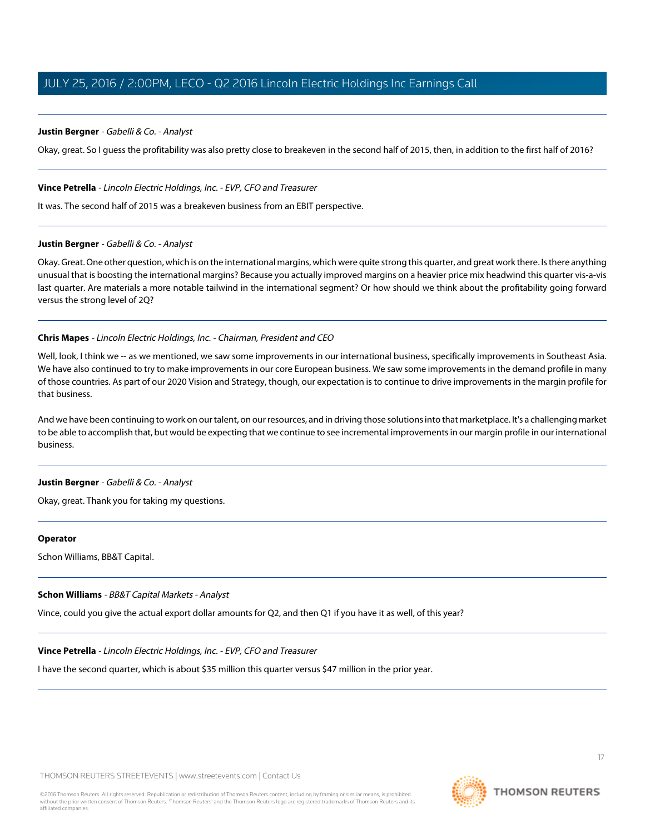### **Justin Bergner** - Gabelli & Co. - Analyst

Okay, great. So I guess the profitability was also pretty close to breakeven in the second half of 2015, then, in addition to the first half of 2016?

#### **Vince Petrella** - Lincoln Electric Holdings, Inc. - EVP, CFO and Treasurer

It was. The second half of 2015 was a breakeven business from an EBIT perspective.

#### **Justin Bergner** - Gabelli & Co. - Analyst

Okay. Great. One other question, which is on the international margins, which were quite strong this quarter, and great work there. Is there anything unusual that is boosting the international margins? Because you actually improved margins on a heavier price mix headwind this quarter vis-a-vis last quarter. Are materials a more notable tailwind in the international segment? Or how should we think about the profitability going forward versus the strong level of 2Q?

# **Chris Mapes** - Lincoln Electric Holdings, Inc. - Chairman, President and CEO

Well, look, I think we -- as we mentioned, we saw some improvements in our international business, specifically improvements in Southeast Asia. We have also continued to try to make improvements in our core European business. We saw some improvements in the demand profile in many of those countries. As part of our 2020 Vision and Strategy, though, our expectation is to continue to drive improvements in the margin profile for that business.

And we have been continuing to work on our talent, on our resources, and in driving those solutions into that marketplace. It's a challenging market to be able to accomplish that, but would be expecting that we continue to see incremental improvements in our margin profile in our international business.

#### **Justin Bergner** - Gabelli & Co. - Analyst

Okay, great. Thank you for taking my questions.

#### **Operator**

Schon Williams, BB&T Capital.

#### **Schon Williams** - BB&T Capital Markets - Analyst

Vince, could you give the actual export dollar amounts for Q2, and then Q1 if you have it as well, of this year?

#### **Vince Petrella** - Lincoln Electric Holdings, Inc. - EVP, CFO and Treasurer

I have the second quarter, which is about \$35 million this quarter versus \$47 million in the prior year.